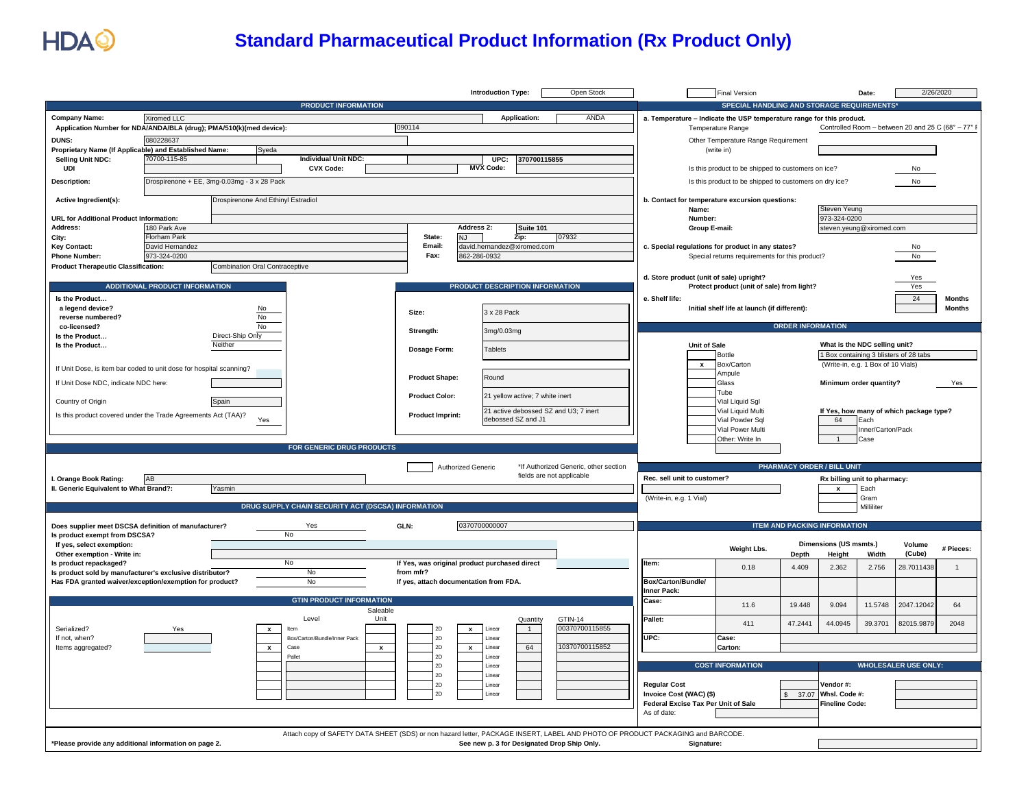

## **Standard Pharmaceutical Product Information (Rx Product Only)**

|                                                                                    |                                       |                                             |                                                                                                                                |                                                                                        |                                                            |                           | <b>Introduction Type:</b>       |                                                                                               | Open Stock                                                                                                      |                             | <b>Final Version</b>                                                  |                                     |                                        | Date:                              | 2/26/2020                                        |                |
|------------------------------------------------------------------------------------|---------------------------------------|---------------------------------------------|--------------------------------------------------------------------------------------------------------------------------------|----------------------------------------------------------------------------------------|------------------------------------------------------------|---------------------------|---------------------------------|-----------------------------------------------------------------------------------------------|-----------------------------------------------------------------------------------------------------------------|-----------------------------|-----------------------------------------------------------------------|-------------------------------------|----------------------------------------|------------------------------------|--------------------------------------------------|----------------|
|                                                                                    |                                       |                                             | <b>PRODUCT INFORMATION</b>                                                                                                     |                                                                                        |                                                            |                           |                                 |                                                                                               |                                                                                                                 |                             | SPECIAL HANDLING AND STORAGE REQUIREMENTS                             |                                     |                                        |                                    |                                                  |                |
| <b>Company Name:</b>                                                               | Xiromed LLC                           |                                             |                                                                                                                                |                                                                                        |                                                            |                           | Application:                    |                                                                                               | <b>ANDA</b>                                                                                                     |                             | a. Temperature - Indicate the USP temperature range for this product. |                                     |                                        |                                    |                                                  |                |
| Application Number for NDA/ANDA/BLA (drug); PMA/510(k)(med device):                |                                       |                                             |                                                                                                                                |                                                                                        | 090114                                                     |                           |                                 |                                                                                               |                                                                                                                 |                             | Temperature Range                                                     |                                     |                                        |                                    | Controlled Room - between 20 and 25 C (68° - 77° |                |
| DUNS:                                                                              | 080228637                             |                                             |                                                                                                                                |                                                                                        |                                                            |                           |                                 |                                                                                               |                                                                                                                 |                             | Other Temperature Range Requirement                                   |                                     |                                        |                                    |                                                  |                |
| Proprietary Name (If Applicable) and Established Name:                             |                                       | Syeda                                       |                                                                                                                                |                                                                                        |                                                            |                           |                                 |                                                                                               |                                                                                                                 |                             | (write in)                                                            |                                     |                                        |                                    |                                                  |                |
| Selling Unit NDC:                                                                  | 70700-115-85                          |                                             | <b>Individual Unit NDC:</b>                                                                                                    |                                                                                        |                                                            | <b>MVX Code:</b>          | UPC:                            | 370700115855                                                                                  |                                                                                                                 |                             |                                                                       |                                     |                                        |                                    |                                                  |                |
| UDI                                                                                |                                       |                                             | <b>CVX Code:</b>                                                                                                               |                                                                                        |                                                            |                           |                                 |                                                                                               |                                                                                                                 |                             | Is this product to be shipped to customers on ice?                    |                                     |                                        |                                    | No                                               |                |
| <b>Description:</b>                                                                |                                       | Drospirenone + EE, 3mg-0.03mg - 3 x 28 Pack |                                                                                                                                |                                                                                        |                                                            |                           |                                 |                                                                                               |                                                                                                                 |                             | Is this product to be shipped to customers on dry ice?                |                                     |                                        |                                    | No                                               |                |
| Active Ingredient(s):                                                              |                                       | Drospirenone And Ethinyl Estradiol          |                                                                                                                                |                                                                                        |                                                            |                           |                                 |                                                                                               |                                                                                                                 |                             | b. Contact for temperature excursion questions:<br>Name:              |                                     | Steven Yeung                           |                                    |                                                  |                |
| <b>URL for Additional Product Information:</b>                                     |                                       |                                             |                                                                                                                                |                                                                                        |                                                            |                           |                                 |                                                                                               |                                                                                                                 |                             | Number:                                                               |                                     | 973-324-0200                           |                                    |                                                  |                |
| Address:                                                                           | 180 Park Ave                          |                                             |                                                                                                                                |                                                                                        |                                                            | Address 2:                |                                 | Suite 101                                                                                     |                                                                                                                 |                             | Group E-mail:                                                         |                                     | steven.yeung@xiromed.com               |                                    |                                                  |                |
| City:                                                                              | <b>Florham Park</b>                   |                                             |                                                                                                                                | State:<br><b>NJ</b><br>Zip:<br>07932<br>Email:<br>david.hernandez@xiromed.com          |                                                            |                           |                                 |                                                                                               |                                                                                                                 |                             |                                                                       |                                     |                                        |                                    |                                                  |                |
| <b>Key Contact:</b><br><b>Phone Number:</b>                                        | 973-324-0200                          | David Hernandez                             |                                                                                                                                |                                                                                        | Fax:<br>862-286-0932                                       |                           |                                 |                                                                                               | c. Special regulations for product in any states?<br>No<br>Special returns requirements for this product?<br>No |                             |                                                                       |                                     |                                        |                                    |                                                  |                |
| <b>Product Therapeutic Classification:</b>                                         |                                       | <b>Combination Oral Contraceptive</b>       |                                                                                                                                |                                                                                        |                                                            |                           |                                 |                                                                                               |                                                                                                                 |                             |                                                                       |                                     |                                        |                                    |                                                  |                |
|                                                                                    |                                       |                                             |                                                                                                                                |                                                                                        |                                                            |                           |                                 |                                                                                               |                                                                                                                 |                             | d. Store product (unit of sale) upright?                              |                                     |                                        |                                    | Yes                                              |                |
|                                                                                    | <b>ADDITIONAL PRODUCT INFORMATION</b> |                                             |                                                                                                                                |                                                                                        |                                                            |                           | PRODUCT DESCRIPTION INFORMATION |                                                                                               |                                                                                                                 |                             | Protect product (unit of sale) from light?                            |                                     |                                        |                                    | Yes                                              |                |
| Is the Product                                                                     |                                       |                                             |                                                                                                                                |                                                                                        |                                                            |                           |                                 |                                                                                               |                                                                                                                 | e. Shelf life:              |                                                                       |                                     |                                        |                                    | 24                                               | <b>Months</b>  |
| a legend device?                                                                   |                                       | No                                          |                                                                                                                                |                                                                                        | Size:                                                      |                           | 3 x 28 Pack                     |                                                                                               |                                                                                                                 |                             | Initial shelf life at launch (if different):                          |                                     |                                        |                                    |                                                  | <b>Months</b>  |
| reverse numbered?                                                                  |                                       | N <sub>o</sub><br>No                        |                                                                                                                                |                                                                                        |                                                            |                           |                                 |                                                                                               |                                                                                                                 |                             |                                                                       | <b>ORDER INFORMATION</b>            |                                        |                                    |                                                  |                |
| co-licensed?<br>Is the Product                                                     |                                       | Direct-Ship Only                            |                                                                                                                                |                                                                                        | Strength:                                                  |                           | 3mg/0.03mg                      |                                                                                               |                                                                                                                 |                             |                                                                       |                                     |                                        |                                    |                                                  |                |
| Is the Product                                                                     |                                       | Neither                                     |                                                                                                                                |                                                                                        | Dosage Form:                                               |                           | Tablets                         |                                                                                               |                                                                                                                 |                             | <b>Unit of Sale</b>                                                   |                                     | What is the NDC selling unit?          |                                    |                                                  |                |
|                                                                                    |                                       |                                             |                                                                                                                                |                                                                                        |                                                            |                           |                                 |                                                                                               |                                                                                                                 |                             | <b>Bottle</b>                                                         |                                     | 1 Box containing 3 blisters of 28 tabs |                                    |                                                  |                |
| If Unit Dose, is item bar coded to unit dose for hospital scanning?                |                                       |                                             |                                                                                                                                |                                                                                        |                                                            |                           |                                 |                                                                                               |                                                                                                                 |                             | $\mathbf{x}$<br>Box/Carton<br>Ampule                                  |                                     |                                        | (Write-in, e.g. 1 Box of 10 Vials) |                                                  |                |
| If Unit Dose NDC, indicate NDC here:                                               |                                       |                                             |                                                                                                                                |                                                                                        | <b>Product Shape:</b>                                      |                           | Round                           |                                                                                               |                                                                                                                 |                             | Glass                                                                 |                                     |                                        | Minimum order quantity?            |                                                  | Yes            |
|                                                                                    |                                       |                                             |                                                                                                                                |                                                                                        | <b>Product Color:</b>                                      |                           | 21 yellow active; 7 white inert |                                                                                               |                                                                                                                 |                             | <b>Tube</b>                                                           |                                     |                                        |                                    |                                                  |                |
| Country of Origin                                                                  |                                       | Spain                                       |                                                                                                                                |                                                                                        |                                                            |                           |                                 |                                                                                               |                                                                                                                 |                             | Vial Liquid Sgl                                                       |                                     |                                        |                                    |                                                  |                |
| Is this product covered under the Trade Agreements Act (TAA)?                      |                                       |                                             |                                                                                                                                | 21 active debossed SZ and U3; 7 inert<br><b>Product Imprint:</b><br>debossed SZ and J1 |                                                            |                           |                                 | Vial Liquid Multi<br>If Yes, how many of which package type?<br>Vial Powder Sql<br>64<br>Each |                                                                                                                 |                             |                                                                       |                                     |                                        |                                    |                                                  |                |
|                                                                                    |                                       | Yes                                         |                                                                                                                                |                                                                                        |                                                            |                           |                                 |                                                                                               |                                                                                                                 |                             | Vial Power Multi                                                      |                                     |                                        | Inner/Carton/Pack                  |                                                  |                |
|                                                                                    |                                       |                                             |                                                                                                                                |                                                                                        |                                                            |                           |                                 |                                                                                               |                                                                                                                 |                             | Other: Write In                                                       |                                     | $\mathbf{1}$                           | Case                               |                                                  |                |
|                                                                                    |                                       |                                             | FOR GENERIC DRUG PRODUCTS                                                                                                      |                                                                                        |                                                            |                           |                                 |                                                                                               |                                                                                                                 |                             |                                                                       |                                     |                                        |                                    |                                                  |                |
|                                                                                    |                                       |                                             |                                                                                                                                |                                                                                        |                                                            | Authorized Generic        |                                 |                                                                                               | *If Authorized Generic, other section                                                                           |                             |                                                                       | <b>PHARMACY ORDER / BILL UNIT</b>   |                                        |                                    |                                                  |                |
|                                                                                    | AB                                    |                                             |                                                                                                                                |                                                                                        |                                                            |                           |                                 |                                                                                               | fields are not applicable                                                                                       | Rec. sell unit to customer? |                                                                       |                                     |                                        |                                    |                                                  |                |
| I. Orange Book Rating:<br>II. Generic Equivalent to What Brand?:                   |                                       | Yasmin                                      |                                                                                                                                |                                                                                        |                                                            |                           |                                 |                                                                                               |                                                                                                                 |                             |                                                                       |                                     | Rx billing unit to pharmacy:           | Each                               |                                                  |                |
|                                                                                    |                                       |                                             |                                                                                                                                |                                                                                        |                                                            |                           |                                 |                                                                                               |                                                                                                                 | (Write-in, e.g. 1 Vial)     |                                                                       |                                     |                                        | Gram                               |                                                  |                |
|                                                                                    |                                       |                                             | DRUG SUPPLY CHAIN SECURITY ACT (DSCSA) INFORMATION                                                                             |                                                                                        |                                                            |                           |                                 |                                                                                               |                                                                                                                 |                             |                                                                       |                                     |                                        | Milliliter                         |                                                  |                |
| Does supplier meet DSCSA definition of manufacturer?                               |                                       |                                             | Yes                                                                                                                            | GLN:                                                                                   |                                                            | 0370700000007             |                                 |                                                                                               |                                                                                                                 |                             |                                                                       | <b>ITEM AND PACKING INFORMATION</b> |                                        |                                    |                                                  |                |
| Is product exempt from DSCSA?                                                      |                                       |                                             | No                                                                                                                             |                                                                                        |                                                            |                           |                                 |                                                                                               |                                                                                                                 |                             |                                                                       |                                     |                                        |                                    |                                                  |                |
| If yes, select exemption:                                                          |                                       |                                             |                                                                                                                                |                                                                                        |                                                            |                           |                                 |                                                                                               |                                                                                                                 |                             | Weight Lbs.                                                           |                                     | Dimensions (US msmts.)                 |                                    | Volume                                           | # Pieces:      |
| Other exemption - Write in:                                                        |                                       |                                             |                                                                                                                                |                                                                                        |                                                            |                           |                                 |                                                                                               |                                                                                                                 |                             |                                                                       | Depth                               | Height                                 | Width                              | (Cube)                                           |                |
| Is product repackaged?<br>Is product sold by manufacturer's exclusive distributor? |                                       |                                             | No<br>No                                                                                                                       |                                                                                        | If Yes, was original product purchased direct<br>from mfr? |                           |                                 |                                                                                               |                                                                                                                 | Item:                       | 0.18                                                                  | 4.409                               | 2.362                                  | 2.756                              | 28.7011438                                       | $\overline{1}$ |
| Has FDA granted waiver/exception/exemption for product?                            |                                       |                                             | No                                                                                                                             |                                                                                        | If yes, attach documentation from FDA.                     |                           |                                 |                                                                                               |                                                                                                                 | Box/Carton/Bundle/          |                                                                       |                                     |                                        |                                    |                                                  |                |
|                                                                                    |                                       |                                             |                                                                                                                                |                                                                                        |                                                            |                           |                                 |                                                                                               |                                                                                                                 | Inner Pack:                 |                                                                       |                                     |                                        |                                    |                                                  |                |
|                                                                                    |                                       |                                             | <b>GTIN PRODUCT INFORMATION</b>                                                                                                |                                                                                        |                                                            |                           |                                 |                                                                                               |                                                                                                                 | Case:                       | 11.6                                                                  | 19.448                              | 9.094                                  | 11.5748                            | 2047.12042                                       | 64             |
|                                                                                    |                                       |                                             | Level                                                                                                                          | Saleable<br>Unit                                                                       |                                                            |                           |                                 | Quantity                                                                                      | GTIN-14                                                                                                         | Pallet:                     |                                                                       |                                     |                                        |                                    |                                                  |                |
| Serialized?                                                                        |                                       | $\mathbf{x}$                                | Item                                                                                                                           |                                                                                        | 2D                                                         | $\mathbf{x}$              | Linear                          | $\overline{1}$                                                                                | 00370700115855                                                                                                  |                             | 411                                                                   | 47.2441                             | 44.0945                                | 39.3701                            | 82015.9879                                       | 2048           |
| If not, when?                                                                      |                                       |                                             | Box/Carton/Bundle/Inner Pack                                                                                                   |                                                                                        | 2D                                                         |                           | Linear                          |                                                                                               |                                                                                                                 | UPC:                        | Case:                                                                 |                                     |                                        |                                    |                                                  |                |
| Items aggregated?                                                                  |                                       | $\mathbf{x}$                                | Case                                                                                                                           | $\pmb{\mathsf{x}}$                                                                     | 2D                                                         | $\boldsymbol{\mathsf{x}}$ | Linear                          | 64                                                                                            | 10370700115852                                                                                                  |                             | Carton:                                                               |                                     |                                        |                                    |                                                  |                |
|                                                                                    |                                       |                                             | Palle                                                                                                                          |                                                                                        | 2D<br>2D                                                   |                           | Linear<br>Linear                |                                                                                               |                                                                                                                 |                             | <b>COST INFORMATION</b>                                               |                                     |                                        |                                    | <b>WHOLESALER USE ONLY:</b>                      |                |
|                                                                                    |                                       |                                             |                                                                                                                                |                                                                                        | 2D                                                         |                           | l inear                         |                                                                                               |                                                                                                                 |                             |                                                                       |                                     |                                        |                                    |                                                  |                |
|                                                                                    |                                       |                                             |                                                                                                                                |                                                                                        | 2D                                                         |                           | Linear                          |                                                                                               |                                                                                                                 | <b>Regular Cost</b>         |                                                                       |                                     | Vendor #:                              |                                    |                                                  |                |
|                                                                                    |                                       |                                             |                                                                                                                                |                                                                                        | 2D                                                         |                           | Linear                          |                                                                                               |                                                                                                                 | Invoice Cost (WAC) (\$)     |                                                                       |                                     | 37.07 Whsl. Code #:                    |                                    |                                                  |                |
|                                                                                    |                                       |                                             |                                                                                                                                |                                                                                        |                                                            |                           |                                 |                                                                                               |                                                                                                                 | As of date:                 | Federal Excise Tax Per Unit of Sale                                   |                                     | <b>Fineline Code:</b>                  |                                    |                                                  |                |
|                                                                                    |                                       |                                             |                                                                                                                                |                                                                                        |                                                            |                           |                                 |                                                                                               |                                                                                                                 |                             |                                                                       |                                     |                                        |                                    |                                                  |                |
|                                                                                    |                                       |                                             | Attach copy of SAFETY DATA SHEET (SDS) or non hazard letter, PACKAGE INSERT, LABEL AND PHOTO OF PRODUCT PACKAGING and BARCODE. |                                                                                        |                                                            |                           |                                 |                                                                                               |                                                                                                                 |                             |                                                                       |                                     |                                        |                                    |                                                  |                |
| *Please provide any additional information on page 2.                              |                                       |                                             |                                                                                                                                |                                                                                        |                                                            |                           |                                 |                                                                                               | See new p. 3 for Designated Drop Ship Only.                                                                     |                             | Signature:                                                            |                                     |                                        |                                    |                                                  |                |
|                                                                                    |                                       |                                             |                                                                                                                                |                                                                                        |                                                            |                           |                                 |                                                                                               |                                                                                                                 |                             |                                                                       |                                     |                                        |                                    |                                                  |                |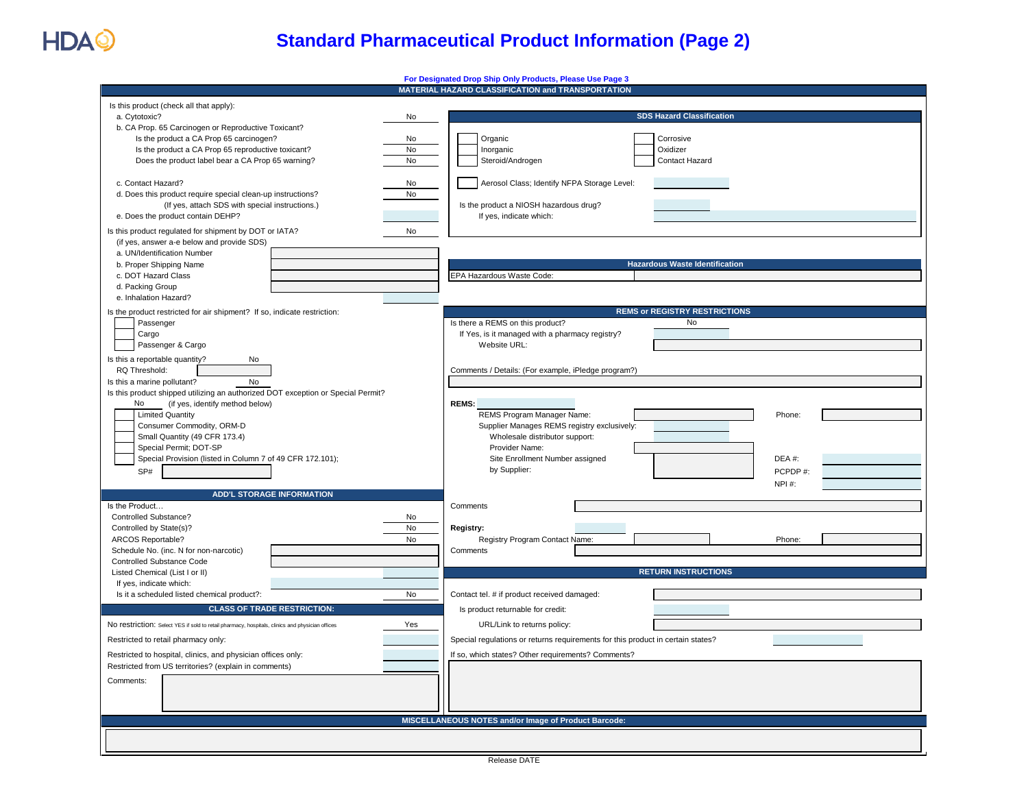

## **Standard Pharmaceutical Product Information (Page 2)**

|                                                                                                        | For Designated Drop Ship Only Products, Please Use Page 3                       |  |  |  |  |  |  |
|--------------------------------------------------------------------------------------------------------|---------------------------------------------------------------------------------|--|--|--|--|--|--|
|                                                                                                        | MATERIAL HAZARD CLASSIFICATION and TRANSPORTATION                               |  |  |  |  |  |  |
| Is this product (check all that apply):                                                                |                                                                                 |  |  |  |  |  |  |
| a. Cytotoxic?<br>No                                                                                    | <b>SDS Hazard Classification</b>                                                |  |  |  |  |  |  |
| b. CA Prop. 65 Carcinogen or Reproductive Toxicant?                                                    |                                                                                 |  |  |  |  |  |  |
| Is the product a CA Prop 65 carcinogen?<br>No                                                          | Organic<br>Corrosive                                                            |  |  |  |  |  |  |
|                                                                                                        |                                                                                 |  |  |  |  |  |  |
| Is the product a CA Prop 65 reproductive toxicant?<br>No                                               | Oxidizer<br>Inorganic                                                           |  |  |  |  |  |  |
| Does the product label bear a CA Prop 65 warning?<br>No                                                | Steroid/Androgen<br>Contact Hazard                                              |  |  |  |  |  |  |
|                                                                                                        |                                                                                 |  |  |  |  |  |  |
| c. Contact Hazard?<br>No                                                                               | Aerosol Class; Identify NFPA Storage Level:                                     |  |  |  |  |  |  |
| d. Does this product require special clean-up instructions?<br>No                                      |                                                                                 |  |  |  |  |  |  |
| (If yes, attach SDS with special instructions.)                                                        | Is the product a NIOSH hazardous drug?                                          |  |  |  |  |  |  |
| e. Does the product contain DEHP?                                                                      | If yes, indicate which:                                                         |  |  |  |  |  |  |
|                                                                                                        |                                                                                 |  |  |  |  |  |  |
| Is this product regulated for shipment by DOT or IATA?<br>No                                           |                                                                                 |  |  |  |  |  |  |
| (if yes, answer a-e below and provide SDS)                                                             |                                                                                 |  |  |  |  |  |  |
| a. UN/Identification Number                                                                            |                                                                                 |  |  |  |  |  |  |
| b. Proper Shipping Name                                                                                | <b>Hazardous Waste Identification</b>                                           |  |  |  |  |  |  |
| c. DOT Hazard Class                                                                                    | EPA Hazardous Waste Code:                                                       |  |  |  |  |  |  |
| d. Packing Group                                                                                       |                                                                                 |  |  |  |  |  |  |
| e. Inhalation Hazard?                                                                                  |                                                                                 |  |  |  |  |  |  |
|                                                                                                        | <b>REMS or REGISTRY RESTRICTIONS</b>                                            |  |  |  |  |  |  |
| Is the product restricted for air shipment? If so, indicate restriction:                               |                                                                                 |  |  |  |  |  |  |
| Passenger                                                                                              | No<br>Is there a REMS on this product?                                          |  |  |  |  |  |  |
| Cargo                                                                                                  | If Yes, is it managed with a pharmacy registry?                                 |  |  |  |  |  |  |
| Passenger & Cargo                                                                                      | Website URL:                                                                    |  |  |  |  |  |  |
| Is this a reportable quantity?<br>No                                                                   |                                                                                 |  |  |  |  |  |  |
| RQ Threshold:                                                                                          | Comments / Details: (For example, iPledge program?)                             |  |  |  |  |  |  |
| <b>No</b><br>Is this a marine pollutant?                                                               |                                                                                 |  |  |  |  |  |  |
|                                                                                                        |                                                                                 |  |  |  |  |  |  |
| Is this product shipped utilizing an authorized DOT exception or Special Permit?                       |                                                                                 |  |  |  |  |  |  |
| No<br>(if yes, identify method below)                                                                  | <b>REMS:</b>                                                                    |  |  |  |  |  |  |
| <b>Limited Quantity</b>                                                                                | REMS Program Manager Name:<br>Phone:                                            |  |  |  |  |  |  |
| Consumer Commodity, ORM-D                                                                              | Supplier Manages REMS registry exclusively:                                     |  |  |  |  |  |  |
| Small Quantity (49 CFR 173.4)                                                                          | Wholesale distributor support:                                                  |  |  |  |  |  |  |
| Special Permit; DOT-SP                                                                                 | Provider Name:                                                                  |  |  |  |  |  |  |
| Special Provision (listed in Column 7 of 49 CFR 172.101);                                              | Site Enrollment Number assigned<br>DEA#:                                        |  |  |  |  |  |  |
| SP#                                                                                                    | by Supplier:<br>PCPDP#:                                                         |  |  |  |  |  |  |
|                                                                                                        | NPI#:                                                                           |  |  |  |  |  |  |
|                                                                                                        |                                                                                 |  |  |  |  |  |  |
| <b>ADD'L STORAGE INFORMATION</b>                                                                       |                                                                                 |  |  |  |  |  |  |
| Is the Product                                                                                         | Comments                                                                        |  |  |  |  |  |  |
| Controlled Substance?<br>No                                                                            |                                                                                 |  |  |  |  |  |  |
| Controlled by State(s)?<br><b>No</b>                                                                   | Registry:                                                                       |  |  |  |  |  |  |
| ARCOS Reportable?<br>No                                                                                | Registry Program Contact Name:<br>Phone                                         |  |  |  |  |  |  |
| Schedule No. (inc. N for non-narcotic)                                                                 | Comments                                                                        |  |  |  |  |  |  |
| <b>Controlled Substance Code</b>                                                                       |                                                                                 |  |  |  |  |  |  |
| Listed Chemical (List I or II)                                                                         | <b>RETURN INSTRUCTIONS</b>                                                      |  |  |  |  |  |  |
| If yes, indicate which:                                                                                |                                                                                 |  |  |  |  |  |  |
| Is it a scheduled listed chemical product?:<br><b>No</b>                                               | Contact tel. # if product received damaged:                                     |  |  |  |  |  |  |
|                                                                                                        |                                                                                 |  |  |  |  |  |  |
| <b>CLASS OF TRADE RESTRICTION:</b>                                                                     | Is product returnable for credit:                                               |  |  |  |  |  |  |
| No restriction: Select YES if sold to retail pharmacy, hospitals, clinics and physician offices<br>Yes | URL/Link to returns policy:                                                     |  |  |  |  |  |  |
|                                                                                                        |                                                                                 |  |  |  |  |  |  |
| Restricted to retail pharmacy only:                                                                    | Special regulations or returns requirements for this product in certain states? |  |  |  |  |  |  |
| Restricted to hospital, clinics, and physician offices only:                                           | If so, which states? Other requirements? Comments?                              |  |  |  |  |  |  |
| Restricted from US territories? (explain in comments)                                                  |                                                                                 |  |  |  |  |  |  |
|                                                                                                        |                                                                                 |  |  |  |  |  |  |
| Comments:                                                                                              |                                                                                 |  |  |  |  |  |  |
|                                                                                                        |                                                                                 |  |  |  |  |  |  |
|                                                                                                        |                                                                                 |  |  |  |  |  |  |
|                                                                                                        |                                                                                 |  |  |  |  |  |  |
|                                                                                                        | MISCELLANEOUS NOTES and/or Image of Product Barcode:                            |  |  |  |  |  |  |
|                                                                                                        |                                                                                 |  |  |  |  |  |  |
|                                                                                                        |                                                                                 |  |  |  |  |  |  |
|                                                                                                        |                                                                                 |  |  |  |  |  |  |